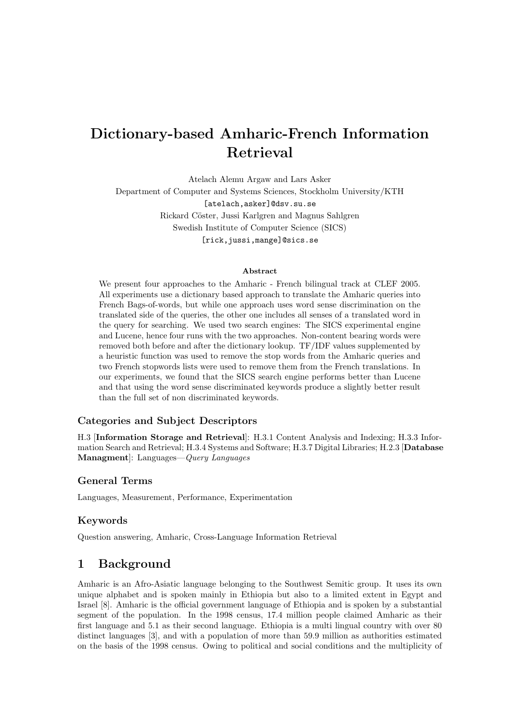# Dictionary-based Amharic-French Information Retrieval

Atelach Alemu Argaw and Lars Asker Department of Computer and Systems Sciences, Stockholm University/KTH [atelach,asker]@dsv.su.se Rickard C¨oster, Jussi Karlgren and Magnus Sahlgren Swedish Institute of Computer Science (SICS) [rick,jussi,mange]@sics.se

#### Abstract

We present four approaches to the Amharic - French bilingual track at CLEF 2005. All experiments use a dictionary based approach to translate the Amharic queries into French Bags-of-words, but while one approach uses word sense discrimination on the translated side of the queries, the other one includes all senses of a translated word in the query for searching. We used two search engines: The SICS experimental engine and Lucene, hence four runs with the two approaches. Non-content bearing words were removed both before and after the dictionary lookup. TF/IDF values supplemented by a heuristic function was used to remove the stop words from the Amharic queries and two French stopwords lists were used to remove them from the French translations. In our experiments, we found that the SICS search engine performs better than Lucene and that using the word sense discriminated keywords produce a slightly better result than the full set of non discriminated keywords.

### Categories and Subject Descriptors

H.3 [Information Storage and Retrieval]: H.3.1 Content Analysis and Indexing; H.3.3 Information Search and Retrieval; H.3.4 Systems and Software; H.3.7 Digital Libraries; H.2.3 [Database Managment]: Languages—Query Languages

#### General Terms

Languages, Measurement, Performance, Experimentation

### Keywords

Question answering, Amharic, Cross-Language Information Retrieval

# 1 Background

Amharic is an Afro-Asiatic language belonging to the Southwest Semitic group. It uses its own unique alphabet and is spoken mainly in Ethiopia but also to a limited extent in Egypt and Israel [8]. Amharic is the official government language of Ethiopia and is spoken by a substantial segment of the population. In the 1998 census, 17.4 million people claimed Amharic as their first language and 5.1 as their second language. Ethiopia is a multi lingual country with over 80 distinct languages [3], and with a population of more than 59.9 million as authorities estimated on the basis of the 1998 census. Owing to political and social conditions and the multiplicity of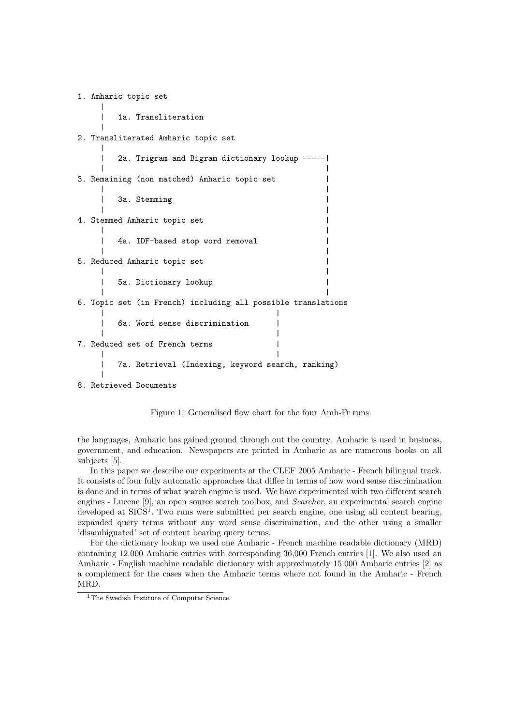1. Amharic topic set | | 1a. Transliteration | 2. Transliterated Amharic topic set | | 2a. Trigram and Bigram dictionary lookup -----| | | 3. Remaining (non matched) Amharic topic set | | | | 3a. Stemming | | | 4. Stemmed Amharic topic set | | | 4a. IDF-based stop word removal | | | 5. Reduced Amharic topic set | | | | 5a. Dictionary lookup | | | 6. Topic set (in French) including all possible translations | | | 6a. Word sense discrimination | | | 7. Reduced set of French terms | | | | 7a. Retrieval (Indexing, keyword search, ranking) | 8. Retrieved Documents



the languages, Amharic has gained ground through out the country. Amharic is used in business, government, and education. Newspapers are printed in Amharic as are numerous books on all subjects [5].

In this paper we describe our experiments at the CLEF 2005 Amharic - French bilingual track. It consists of four fully automatic approaches that differ in terms of how word sense discrimination is done and in terms of what search engine is used. We have experimented with two different search engines - Lucene [9], an open source search toolbox, and Searcher, an experimental search engine developed at SICS<sup>1</sup>. Two runs were submitted per search engine, one using all content bearing, expanded query terms without any word sense discrimination, and the other using a smaller 'disambiguated' set of content bearing query terms.

For the dictionary lookup we used one Amharic - French machine readable dictionary (MRD) containing 12.000 Amharic entries with corresponding 36,000 French entries [1]. We also used an Amharic - English machine readable dictionary with approximately 15.000 Amharic entries [2] as a complement for the cases when the Amharic terms where not found in the Amharic - French MRD.

<sup>&</sup>lt;sup>1</sup>The Swedish Institute of Computer Science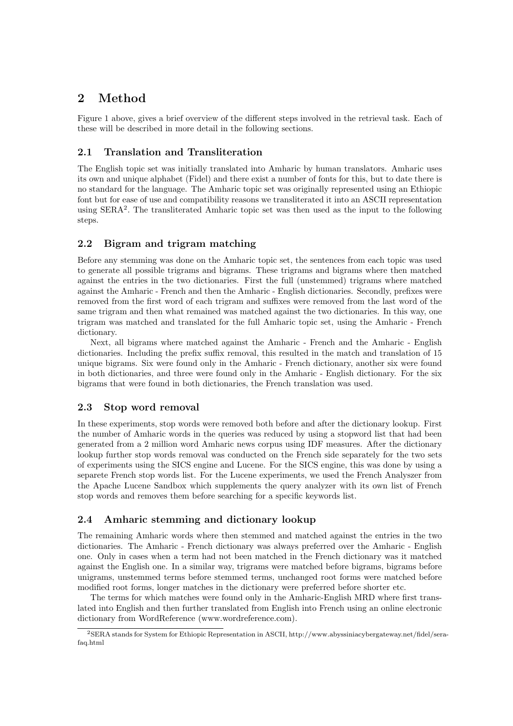# 2 Method

Figure 1 above, gives a brief overview of the different steps involved in the retrieval task. Each of these will be described in more detail in the following sections.

### 2.1 Translation and Transliteration

The English topic set was initially translated into Amharic by human translators. Amharic uses its own and unique alphabet (Fidel) and there exist a number of fonts for this, but to date there is no standard for the language. The Amharic topic set was originally represented using an Ethiopic font but for ease of use and compatibility reasons we transliterated it into an ASCII representation using SERA<sup>2</sup>. The transliterated Amharic topic set was then used as the input to the following steps.

### 2.2 Bigram and trigram matching

Before any stemming was done on the Amharic topic set, the sentences from each topic was used to generate all possible trigrams and bigrams. These trigrams and bigrams where then matched against the entries in the two dictionaries. First the full (unstemmed) trigrams where matched against the Amharic - French and then the Amharic - English dictionaries. Secondly, prefixes were removed from the first word of each trigram and suffixes were removed from the last word of the same trigram and then what remained was matched against the two dictionaries. In this way, one trigram was matched and translated for the full Amharic topic set, using the Amharic - French dictionary.

Next, all bigrams where matched against the Amharic - French and the Amharic - English dictionaries. Including the prefix suffix removal, this resulted in the match and translation of 15 unique bigrams. Six were found only in the Amharic - French dictionary, another six were found in both dictionaries, and three were found only in the Amharic - English dictionary. For the six bigrams that were found in both dictionaries, the French translation was used.

### 2.3 Stop word removal

In these experiments, stop words were removed both before and after the dictionary lookup. First the number of Amharic words in the queries was reduced by using a stopword list that had been generated from a 2 million word Amharic news corpus using IDF measures. After the dictionary lookup further stop words removal was conducted on the French side separately for the two sets of experiments using the SICS engine and Lucene. For the SICS engine, this was done by using a separete French stop words list. For the Lucene experiments, we used the French Analyszer from the Apache Lucene Sandbox which supplements the query analyzer with its own list of French stop words and removes them before searching for a specific keywords list.

### 2.4 Amharic stemming and dictionary lookup

The remaining Amharic words where then stemmed and matched against the entries in the two dictionaries. The Amharic - French dictionary was always preferred over the Amharic - English one. Only in cases when a term had not been matched in the French dictionary was it matched against the English one. In a similar way, trigrams were matched before bigrams, bigrams before unigrams, unstemmed terms before stemmed terms, unchanged root forms were matched before modified root forms, longer matches in the dictionary were preferred before shorter etc.

The terms for which matches were found only in the Amharic-English MRD where first translated into English and then further translated from English into French using an online electronic dictionary from WordReference (www.wordreference.com).

<sup>2</sup>SERA stands for System for Ethiopic Representation in ASCII, http://www.abyssiniacybergateway.net/fidel/serafaq.html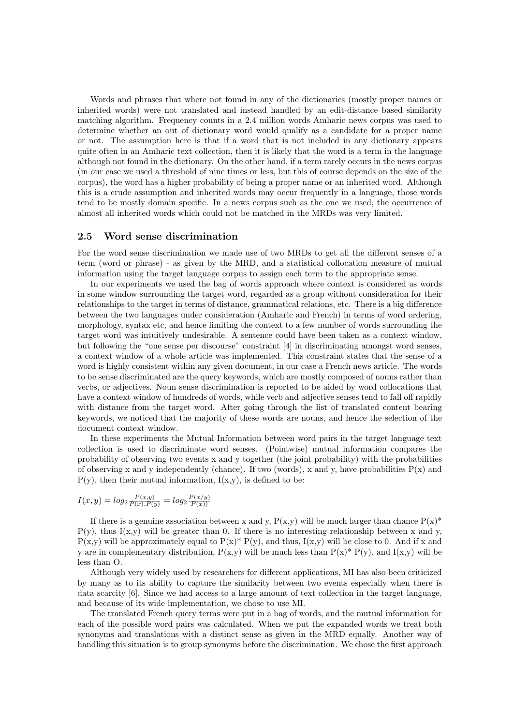Words and phrases that where not found in any of the dictionaries (mostly proper names or inherited words) were not translated and instead handled by an edit-distance based similarity matching algorithm. Frequency counts in a 2.4 million words Amharic news corpus was used to determine whether an out of dictionary word would qualify as a candidate for a proper name or not. The assumption here is that if a word that is not included in any dictionary appears quite often in an Amharic text collection, then it is likely that the word is a term in the language although not found in the dictionary. On the other hand, if a term rarely occurs in the news corpus (in our case we used a threshold of nine times or less, but this of course depends on the size of the corpus), the word has a higher probability of being a proper name or an inherited word. Although this is a crude assumption and inherited words may occur frequently in a language, those words tend to be mostly domain specific. In a news corpus such as the one we used, the occurrence of almost all inherited words which could not be matched in the MRDs was very limited.

### 2.5 Word sense discrimination

For the word sense discrimination we made use of two MRDs to get all the different senses of a term (word or phrase) - as given by the MRD, and a statistical collocation measure of mutual information using the target language corpus to assign each term to the appropriate sense.

In our experiments we used the bag of words approach where context is considered as words in some window surrounding the target word, regarded as a group without consideration for their relationships to the target in terms of distance, grammatical relations, etc. There is a big difference between the two languages under consideration (Amharic and French) in terms of word ordering, morphology, syntax etc, and hence limiting the context to a few number of words surrounding the target word was intuitively undesirable. A sentence could have been taken as a context window, but following the "one sense per discourse" constraint [4] in discriminating amongst word senses, a context window of a whole article was implemented. This constraint states that the sense of a word is highly consistent within any given document, in our case a French news article. The words to be sense discriminated are the query keywords, which are mostly composed of nouns rather than verbs, or adjectives. Noun sense discrimination is reported to be aided by word collocations that have a context window of hundreds of words, while verb and adjective senses tend to fall off rapidly with distance from the target word. After going through the list of translated content bearing keywords, we noticed that the majority of these words are nouns, and hence the selection of the document context window.

In these experiments the Mutual Information between word pairs in the target language text collection is used to discriminate word senses. (Pointwise) mutual information compares the probability of observing two events x and y together (the joint probability) with the probabilities of observing x and y independently (chance). If two (words), x and y, have probabilities  $P(x)$  and  $P(y)$ , then their mutual information,  $I(x,y)$ , is defined to be:

$$
I(x,y)=log_2\frac{P(x,y)}{P(x).P(y)}=log_2\frac{P(x/y)}{P(x))}
$$

If there is a genuine association between x and y,  $P(x,y)$  will be much larger than chance  $P(x)^*$  $P(y)$ , thus I(x,y) will be greater than 0. If there is no interesting relationship between x and y,  $P(x,y)$  will be approximately equal to  $P(x)^* P(y)$ , and thus,  $I(x,y)$  will be close to 0. And if x and y are in complementary distribution,  $P(x,y)$  will be much less than  $P(x)^* P(y)$ , and  $I(x,y)$  will be less than O.

Although very widely used by researchers for different applications, MI has also been criticized by many as to its ability to capture the similarity between two events especially when there is data scarcity [6]. Since we had access to a large amount of text collection in the target language, and because of its wide implementation, we chose to use MI.

The translated French query terms were put in a bag of words, and the mutual information for each of the possible word pairs was calculated. When we put the expanded words we treat both synonyms and translations with a distinct sense as given in the MRD equally. Another way of handling this situation is to group synonyms before the discrimination. We chose the first approach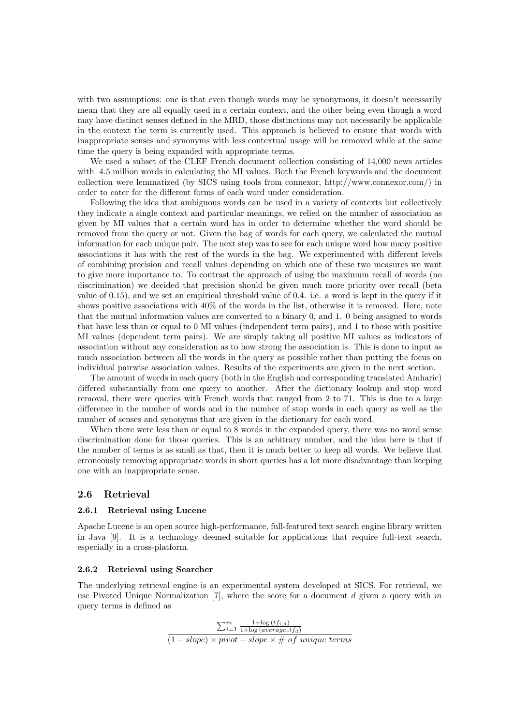with two assumptions: one is that even though words may be synonymous, it doesn't necessarily mean that they are all equally used in a certain context, and the other being even though a word may have distinct senses defined in the MRD, those distinctions may not necessarily be applicable in the context the term is currently used. This approach is believed to ensure that words with inappropriate senses and synonyms with less contextual usage will be removed while at the same time the query is being expanded with appropriate terms.

We used a subset of the CLEF French document collection consisting of 14,000 news articles with 4.5 million words in calculating the MI values. Both the French keywords and the document collection were lemmatized (by SICS using tools from connexor, http://www.connexor.com/) in order to cater for the different forms of each word under consideration.

Following the idea that ambiguous words can be used in a variety of contexts but collectively they indicate a single context and particular meanings, we relied on the number of association as given by MI values that a certain word has in order to determine whether the word should be removed from the query or not. Given the bag of words for each query, we calculated the mutual information for each unique pair. The next step was to see for each unique word how many positive associations it has with the rest of the words in the bag. We experimented with different levels of combining precision and recall values depending on which one of these two measures we want to give more importance to. To contrast the approach of using the maximum recall of words (no discrimination) we decided that precision should be given much more priority over recall (beta value of 0.15), and we set an empirical threshold value of 0.4. i.e. a word is kept in the query if it shows positive associations with 40% of the words in the list, otherwise it is removed. Here, note that the mutual information values are converted to a binary 0, and 1. 0 being assigned to words that have less than or equal to 0 MI values (independent term pairs), and 1 to those with positive MI values (dependent term pairs). We are simply taking all positive MI values as indicators of association without any consideration as to how strong the association is. This is done to input as much association between all the words in the query as possible rather than putting the focus on individual pairwise association values. Results of the experiments are given in the next section.

The amount of words in each query (both in the English and corresponding translated Amharic) differed substantially from one query to another. After the dictionary lookup and stop word removal, there were queries with French words that ranged from 2 to 71. This is due to a large difference in the number of words and in the number of stop words in each query as well as the number of senses and synonyms that are given in the dictionary for each word.

When there were less than or equal to 8 words in the expanded query, there was no word sense discrimination done for those queries. This is an arbitrary number, and the idea here is that if the number of terms is as small as that, then it is much better to keep all words. We believe that erroneously removing appropriate words in short queries has a lot more disadvantage than keeping one with an inappropriate sense.

### 2.6 Retrieval

#### 2.6.1 Retrieval using Lucene

Apache Lucene is an open source high-performance, full-featured text search engine library written in Java [9]. It is a technology deemed suitable for applications that require full-text search, especially in a cross-platform.

#### 2.6.2 Retrieval using Searcher

The underlying retrieval engine is an experimental system developed at SICS. For retrieval, we use Pivoted Unique Normalization  $[7]$ , where the score for a document d given a query with m query terms is defined as

$$
\frac{\sum_{i=1}^{m} \frac{1 + \log(t f_{i,d})}{1 + \log(\text{average\_tf}_d)}}{(1 - slope) \times \text{pivot} + slope \times \# \text{ of unique terms})}
$$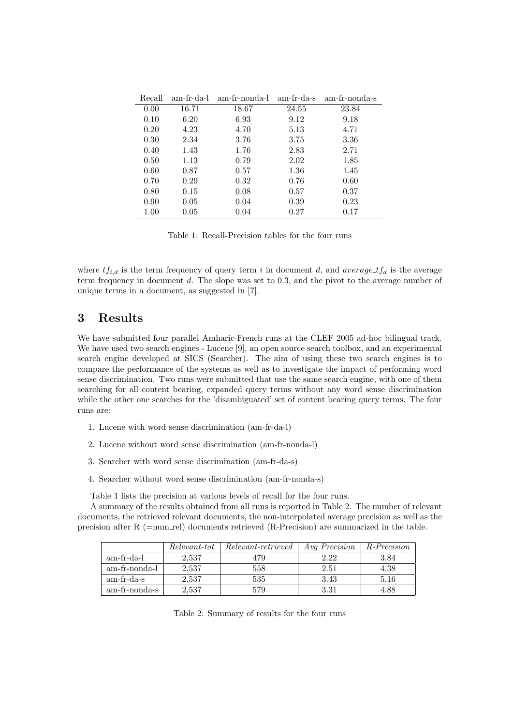| Recall |       | am-fr-da-l am-fr-nonda-l am-fr-da-s am-fr-nonda-s |       |       |
|--------|-------|---------------------------------------------------|-------|-------|
| 0.00   | 16.71 | 18.67                                             | 24.55 | 23.84 |
| 0.10   | 6.20  | 6.93                                              | 9.12  | 9.18  |
| 0.20   | 4.23  | 4.70                                              | 5.13  | 4.71  |
| 0.30   | 2.34  | 3.76                                              | 3.75  | 3.36  |
| 0.40   | 1.43  | 1.76                                              | 2.83  | 2.71  |
| 0.50   | 1.13  | 0.79                                              | 2.02  | 1.85  |
| 0.60   | 0.87  | 0.57                                              | 1.36  | 1.45  |
| 0.70   | 0.29  | 0.32                                              | 0.76  | 0.60  |
| 0.80   | 0.15  | 0.08                                              | 0.57  | 0.37  |
| 0.90   | 0.05  | 0.04                                              | 0.39  | 0.23  |
| 1.00   | 0.05  | 0.04                                              | 0.27  | 0.17  |

Table 1: Recall-Precision tables for the four runs

where  $tf_{i,d}$  is the term frequency of query term i in document d, and average  $tf_d$  is the average term frequency in document d. The slope was set to 0.3, and the pivot to the average number of unique terms in a document, as suggested in [7].

# 3 Results

We have submitted four parallel Amharic-French runs at the CLEF 2005 ad-hoc bilingual track. We have used two search engines - Lucene [9], an open source search toolbox, and an experimental search engine developed at SICS (Searcher). The aim of using these two search engines is to compare the performance of the systems as well as to investigate the impact of performing word sense discrimination. Two runs were submitted that use the same search engine, with one of them searching for all content bearing, expanded query terms without any word sense discrimination while the other one searches for the 'disambiguated' set of content bearing query terms. The four runs are:

- 1. Lucene with word sense discrimination (am-fr-da-l)
- 2. Lucene without word sense discrimination (am-fr-nonda-l)
- 3. Searcher with word sense discrimination (am-fr-da-s)
- 4. Searcher without word sense discrimination (am-fr-nonda-s)

Table 1 lists the precision at various levels of recall for the four runs.

A summary of the results obtained from all runs is reported in Table 2. The number of relevant documents, the retrieved relevant documents, the non-interpolated average precision as well as the precision after R (=num rel) documents retrieved (R-Precision) are summarized in the table.

|               | Relevant-tot | <i>Relevant-retrieved</i> | <i>Avg Precision</i> | R-Precision |
|---------------|--------------|---------------------------|----------------------|-------------|
| am-fr-da-l    | 2.537        | 479                       | 2.22                 | 3.84        |
| am-fr-nonda-l | 2.537        | 558                       | 2.51                 | 4.38        |
| am-fr-da-s    | 2,537        | 535                       | 3.43                 | 5.16        |
| am-fr-nonda-s | 2.537        | 579                       | 3.31                 | 4.88        |

Table 2: Summary of results for the four runs